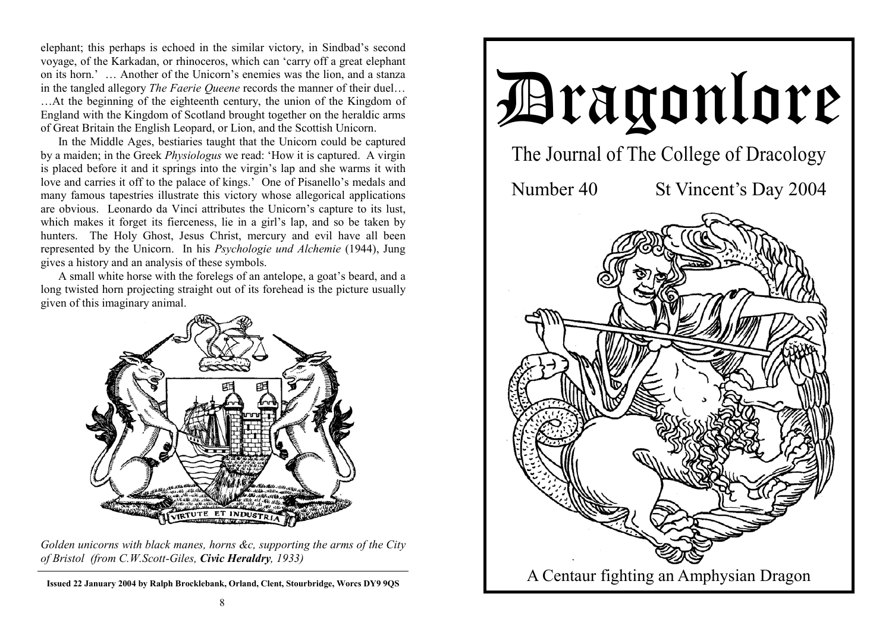elephant; this perhaps is echoed in the similar victory, in Sindbad's second voyage, of the Karkadan, or rhinoceros, which can 'carry off a great elephant on its horn.' … Another of the Unicorn's enemies was the lion, and a stanza in the tangled allegory *The Faerie Queene* records the manner of their duel… …At the beginning of the eighteenth century, the union of the Kingdom of England with the Kingdom of Scotland brought together on the heraldic arms of Great Britain the English Leopard, or Lion, and the Scottish Unicorn.

 In the Middle Ages, bestiaries taught that the Unicorn could be captured by a maiden; in the Greek *Physiologus* we read: 'How it is captured. A virgin is placed before it and it springs into the virgin's lap and she warms it with love and carries it off to the palace of kings.' One of Pisanello's medals and many famous tapestries illustrate this victory whose allegorical applications are obvious. Leonardo da Vinci attributes the Unicorn's capture to its lust, which makes it forget its fierceness, lie in a girl's lap, and so be taken by hunters. The Holy Ghost, Jesus Christ, mercury and evil have all been represented by the Unicorn. In his *Psychologie und Alchemie* (1944), Jung gives a history and an analysis of these symbols.

 A small white horse with the forelegs of an antelope, a goat's beard, and a long twisted horn projecting straight out of its forehead is the picture usually given of this imaginary animal.



*Golden unicorns with black manes, horns &c, supporting the arms of the City of Bristol (from C.W.Scott-Giles, Civic Heraldry, 1933)* 

**Issued 22 January 2004 by Ralph Brocklebank, Orland, Clent, Stourbridge, Worcs DY9 9QS** 

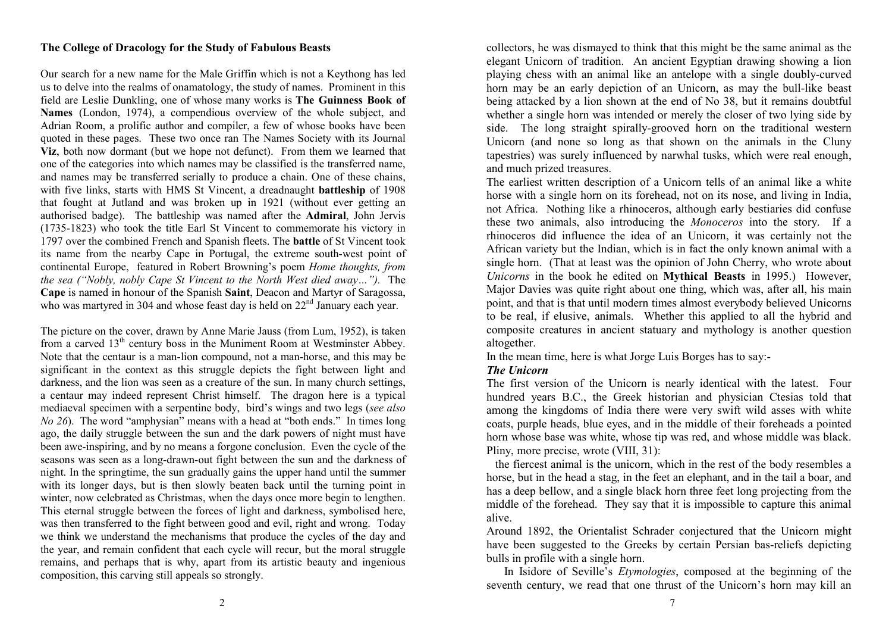# **The College of Dracology for the Study of Fabulous Beasts**

Our search for a new name for the Male Griffin which is not a Keythong has led us to delve into the realms of onamatology, the study of names. Prominent in this field are Leslie Dunkling, one of whose many works is **The Guinness Book of Names** (London, 1974), a compendious overview of the whole subject, and Adrian Room, a prolific author and compiler, a few of whose books have been quoted in these pages. These two once ran The Names Society with its Journal **Viz**, both now dormant (but we hope not defunct). From them we learned that one of the categories into which names may be classified is the transferred name, and names may be transferred serially to produce a chain. One of these chains, with five links, starts with HMS St Vincent, a dreadnaught **battleship** of 1908 that fought at Jutland and was broken up in 1921 (without ever getting an authorised badge). The battleship was named after the **Admiral**, John Jervis (1735-1823) who took the title Earl St Vincent to commemorate his victory in 1797 over the combined French and Spanish fleets. The **battle** of St Vincent took its name from the nearby Cape in Portugal, the extreme south-west point of continental Europe, featured in Robert Browning's poem *Home thoughts, from the sea ("Nobly, nobly Cape St Vincent to the North West died away…").* The **Cape** is named in honour of the Spanish **Saint**, Deacon and Martyr of Saragossa, who was martyred in 304 and whose feast day is held on 22<sup>nd</sup> January each year.

The picture on the cover, drawn by Anne Marie Jauss (from Lum, 1952), is taken from a carved 13<sup>th</sup> century boss in the Muniment Room at Westminster Abbey. Note that the centaur is a man-lion compound, not a man-horse, and this may be significant in the context as this struggle depicts the fight between light and darkness, and the lion was seen as a creature of the sun. In many church settings, a centaur may indeed represent Christ himself. The dragon here is a typical mediaeval specimen with a serpentine body, bird's wings and two legs (*see also No 26*). The word "amphysian" means with a head at "both ends." In times long ago, the daily struggle between the sun and the dark powers of night must have been awe-inspiring, and by no means a forgone conclusion. Even the cycle of the seasons was seen as a long-drawn-out fight between the sun and the darkness of night. In the springtime, the sun gradually gains the upper hand until the summer with its longer days, but is then slowly beaten back until the turning point in winter, now celebrated as Christmas, when the days once more begin to lengthen. This eternal struggle between the forces of light and darkness, symbolised here, was then transferred to the fight between good and evil, right and wrong. Today we think we understand the mechanisms that produce the cycles of the day and the year, and remain confident that each cycle will recur, but the moral struggle remains, and perhaps that is why, apart from its artistic beauty and ingenious composition, this carving still appeals so strongly.

collectors, he was dismayed to think that this might be the same animal as the elegant Unicorn of tradition. An ancient Egyptian drawing showing a lion playing chess with an animal like an antelope with a single doubly-curved horn may be an early depiction of an Unicorn, as may the bull-like beast being attacked by a lion shown at the end of No 38, but it remains doubtful whether a single horn was intended or merely the closer of two lying side by side. The long straight spirally-grooved horn on the traditional western Unicorn (and none so long as that shown on the animals in the Cluny tapestries) was surely influenced by narwhal tusks, which were real enough, and much prized treasures.

The earliest written description of a Unicorn tells of an animal like a white horse with a single horn on its forehead, not on its nose, and living in India, not Africa. Nothing like a rhinoceros, although early bestiaries did confuse these two animals, also introducing the *Monoceros* into the story. If a rhinoceros did influence the idea of an Unicorn, it was certainly not the African variety but the Indian, which is in fact the only known animal with a single horn. (That at least was the opinion of John Cherry, who wrote about *Unicorns* in the book he edited on **Mythical Beasts** in 1995.) However, Major Davies was quite right about one thing, which was, after all, his main point, and that is that until modern times almost everybody believed Unicorns to be real, if elusive, animals. Whether this applied to all the hybrid and composite creatures in ancient statuary and mythology is another question altogether.

In the mean time, here is what Jorge Luis Borges has to say:-

# *The Unicorn*

The first version of the Unicorn is nearly identical with the latest. Four hundred years B.C., the Greek historian and physician Ctesias told that among the kingdoms of India there were very swift wild asses with white coats, purple heads, blue eyes, and in the middle of their foreheads a pointed horn whose base was white, whose tip was red, and whose middle was black. Pliny, more precise, wrote (VIII, 31):

 the fiercest animal is the unicorn, which in the rest of the body resembles a horse, but in the head a stag, in the feet an elephant, and in the tail a boar, and has a deep bellow, and a single black horn three feet long projecting from the middle of the forehead. They say that it is impossible to capture this animal alive.

Around 1892, the Orientalist Schrader conjectured that the Unicorn might have been suggested to the Greeks by certain Persian bas-reliefs depicting bulls in profile with a single horn.

 In Isidore of Seville's *Etymologies*, composed at the beginning of the seventh century, we read that one thrust of the Unicorn's horn may kill an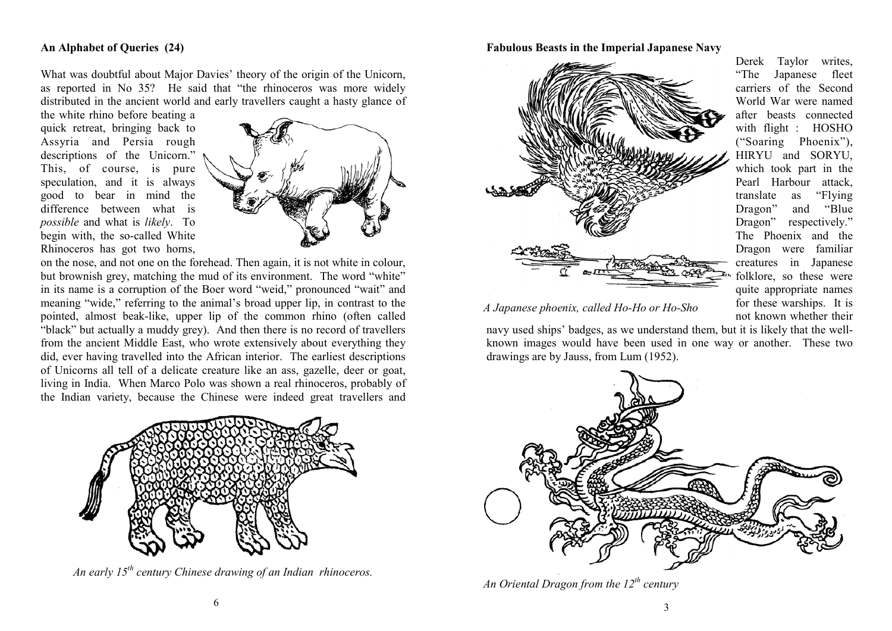### **An Alphabet of Queries (24)**

What was doubtful about Major Davies' theory of the origin of the Unicorn, as reported in No 35? He said that "the rhinoceros was more widely distributed in the ancient world and early travellers caught a hasty glance of

the white rhino before beating a quick retreat, bringing back to Assyria and Persia rough descriptions of the Unicorn." This, of course, is pure speculation, and it is always good to bear in mind the difference between what is *possible* and what is *likely*. To begin with, the so-called White Rhinoceros has got two horns,



on the nose, and not one on the forehead. Then again, it is not white in colour, but brownish grey, matching the mud of its environment. The word "white" in its name is a corruption of the Boer word "weid," pronounced "wait" and meaning "wide," referring to the animal's broad upper lip, in contrast to the pointed, almost beak-like, upper lip of the common rhino (often called "black" but actually a muddy grey). And then there is no record of travellers from the ancient Middle East, who wrote extensively about everything they did, ever having travelled into the African interior. The earliest descriptions of Unicorns all tell of a delicate creature like an ass, gazelle, deer or goat, living in India. When Marco Polo was shown a real rhinoceros, probably of the Indian variety, because the Chinese were indeed great travellers and



*An early 15th century Chinese drawing of an Indian rhinoceros.*

### **Fabulous Beasts in the Imperial Japanese Navy**



Derek Taylor writes, "The Japanese fleet carriers of the Second World War were named after beasts connected with flight : HOSHO ("Soaring Phoenix"), HIRYU and SORYU, which took part in the Pearl Harbour attack, translate as "Flying Dragon" and "Blue Dragon" respectively." The Phoenix and the Dragon were familiar creatures in Japanese folklore, so these were quite appropriate names for these warships. It is not known whether their

*A Japanese phoenix, called Ho-Ho or Ho-Sho*

navy used ships' badges, as we understand them, but it is likely that the wellknown images would have been used in one way or another. These two drawings are by Jauss, from Lum (1952).



*An Oriental Dragon from the 12th century*